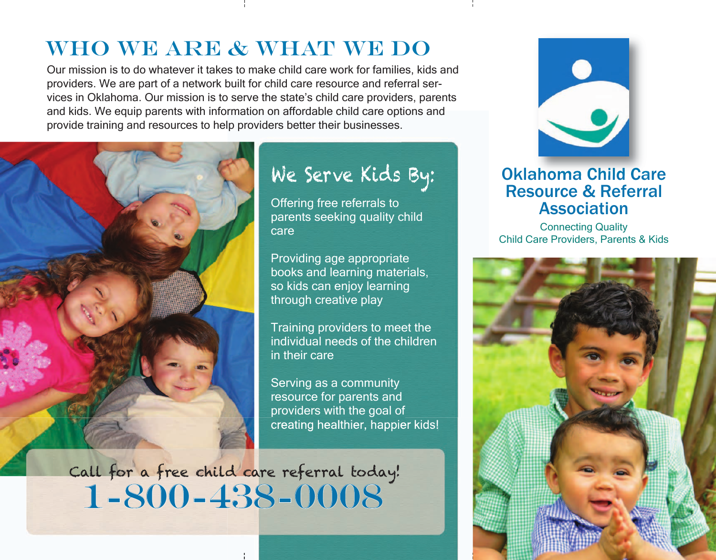#### WHO WE ARE & WHAT WE DO

Our mission is to do whatever it takes to make child care work for families, kids and providers. We are part of a network built for child care resource and referral services in Oklahoma. Our mission is to serve the state's child care providers, parents and kids. We equip parents with information on affordable child care options and provide training and resources to help providers better their businesses.



# We Serve Kids By:

Offering free referrals to parents seeking quality child care

Providing age appropriate books and learning materials, so kids can enjoy learning through creative play

Training providers to meet the individual needs of the children in their care

Serving as a community resource for parents and providers with the goal of creating healthier, happier kids!

1-800-438-0008 Call for a free child care referral today!



#### Oklahoma Child Care Resource & Referral Association

Connecting Quality Child Care Providers, Parents & Kids